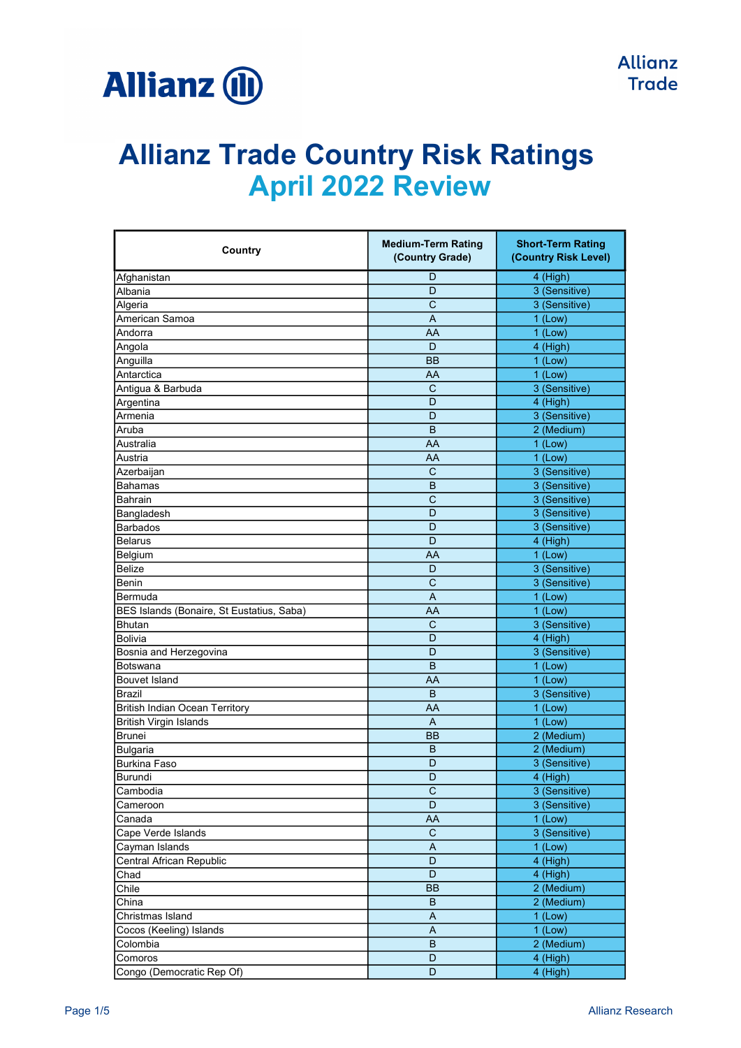

| Country                                   | <b>Medium-Term Rating</b><br>(Country Grade) | <b>Short-Term Rating</b><br>(Country Risk Level) |
|-------------------------------------------|----------------------------------------------|--------------------------------------------------|
| Afghanistan                               | D                                            | 4 (High)                                         |
| Albania                                   | D                                            | 3 (Sensitive)                                    |
| Algeria                                   | С                                            | 3 (Sensitive)                                    |
| American Samoa                            | A                                            | $1$ (Low)                                        |
| Andorra                                   | AA                                           | $1$ (Low)                                        |
| Angola                                    | D                                            | 4 (High)                                         |
| Anguilla                                  | <b>BB</b>                                    | $1$ (Low)                                        |
| Antarctica                                | AA                                           | $1$ (Low)                                        |
| Antigua & Barbuda                         | C                                            | 3 (Sensitive)                                    |
| Argentina                                 | D                                            | 4 (High)                                         |
| Armenia                                   | D                                            | 3 (Sensitive)                                    |
| Aruba                                     | B                                            | 2 (Medium)                                       |
| Australia                                 | AA                                           | $1$ (Low)                                        |
| Austria                                   | AA                                           | $1$ (Low)                                        |
| Azerbaijan                                | $\mathsf C$                                  | 3 (Sensitive)                                    |
| <b>Bahamas</b>                            | B                                            | 3 (Sensitive)                                    |
| Bahrain                                   | $\mathsf{C}$                                 | 3 (Sensitive)                                    |
| Bangladesh                                | D                                            | 3 (Sensitive)                                    |
| Barbados                                  | D                                            | 3 (Sensitive)                                    |
| Belarus                                   | D                                            | 4 (High)                                         |
| Belgium                                   | AA                                           | $1$ (Low)                                        |
| Belize                                    | D                                            | 3 (Sensitive)                                    |
| Benin                                     | C                                            | 3 (Sensitive)                                    |
| Bermuda                                   | A                                            | $1$ (Low)                                        |
| BES Islands (Bonaire, St Eustatius, Saba) | AA                                           | $1$ (Low)                                        |
| <b>Bhutan</b>                             | C                                            | 3 (Sensitive)                                    |
| Bolivia                                   | D                                            | 4 (High)                                         |
| Bosnia and Herzegovina                    | D                                            | 3 (Sensitive)                                    |
| Botswana                                  | B                                            | $1$ (Low)                                        |
| <b>Bouvet Island</b>                      | AA                                           | $1$ (Low)                                        |
| Brazil                                    | B                                            | 3 (Sensitive)                                    |
| <b>British Indian Ocean Territory</b>     | AA                                           | $1$ (Low)                                        |
| British Virgin Islands                    | A                                            | $1$ (Low)                                        |
| Brunei                                    | ВB                                           | 2 (Medium)                                       |
| Bulgaria                                  | B                                            | 2 (Medium)                                       |
| Burkina Faso                              | D                                            | 3 (Sensitive)                                    |
| Burundi                                   | D                                            | 4 (High)                                         |
| Cambodia                                  | $\overline{C}$                               | 3 (Sensitive)                                    |
| Cameroon                                  | D                                            | 3 (Sensitive)                                    |
| Canada                                    | AA                                           | $1$ (Low)                                        |
| Cape Verde Islands                        | $\mathsf C$                                  | 3 (Sensitive)                                    |
| Cayman Islands                            | A                                            | $1$ (Low)                                        |
| Central African Republic                  | D                                            | 4 (High)                                         |
| Chad                                      | D                                            | 4 (High)                                         |
| Chile                                     | <b>BB</b>                                    | 2 (Medium)                                       |
| $\overline{\text{China}}$                 | B                                            | 2 (Medium)                                       |
| Christmas Island                          | A                                            | $1$ (Low)                                        |
| Cocos (Keeling) Islands                   | A                                            | $1$ (Low)                                        |
| Colombia                                  | B                                            | 2 (Medium)                                       |
| Comoros                                   | D                                            | 4 (High)                                         |
| Congo (Democratic Rep Of)                 | D                                            | 4 (High)                                         |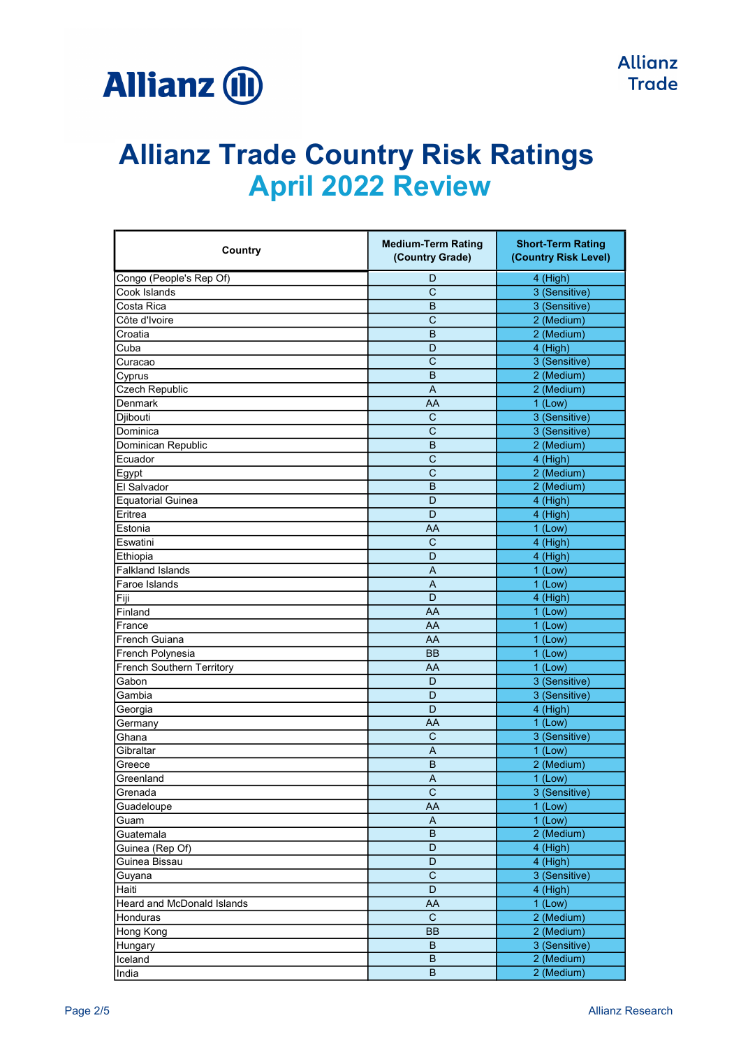

| Country                    | <b>Medium-Term Rating</b><br>(Country Grade) | <b>Short-Term Rating</b><br>(Country Risk Level) |
|----------------------------|----------------------------------------------|--------------------------------------------------|
| Congo (People's Rep Of)    | D                                            | 4 (High)                                         |
| Cook Islands               | $\mathsf{C}$                                 | 3 (Sensitive)                                    |
| Costa Rica                 | B                                            | 3 (Sensitive)                                    |
| Côte d'Ivoire              | $\mathsf{C}$                                 | 2 (Medium)                                       |
| Croatia                    | B                                            | 2 (Medium)                                       |
| Cuba                       | D                                            | 4 (High)                                         |
| Curacao                    | C                                            | 3 (Sensitive)                                    |
| Cyprus                     | B                                            | 2 (Medium)                                       |
| Czech Republic             | $\overline{A}$                               | 2 (Medium)                                       |
| Denmark                    | AA                                           | $1$ (Low)                                        |
| Djibouti                   | $\mathsf{C}$                                 | 3 (Sensitive)                                    |
| Dominica                   | C                                            | 3 (Sensitive)                                    |
| Dominican Republic         | B                                            | 2 (Medium)                                       |
| Ecuador                    | C                                            | 4 (High)                                         |
| Egypt                      | C                                            | 2 (Medium)                                       |
| El Salvador                | B                                            | 2 (Medium)                                       |
| <b>Equatorial Guinea</b>   | D                                            | 4 (High)                                         |
| Eritrea                    | D                                            | 4 (High)                                         |
| Estonia                    | AA                                           | $1$ (Low)                                        |
| Eswatini                   | $\mathsf{C}$                                 | 4 (High)                                         |
| Ethiopia                   | D                                            | 4 (High)                                         |
| <b>Falkland Islands</b>    | A                                            | $1$ (Low)                                        |
| Faroe Islands              | A                                            | $1$ (Low)                                        |
| Fiji                       | D                                            | 4 (High)                                         |
| Finland                    | AA                                           | $1$ (Low)                                        |
| France                     | AA                                           | $1$ (Low)                                        |
| <b>French Guiana</b>       | AA                                           | $1$ (Low)                                        |
| French Polynesia           | <b>BB</b>                                    | $1$ (Low)                                        |
| French Southern Territory  | AA                                           | $1$ (Low)                                        |
| Gabon                      | D                                            | 3 (Sensitive)                                    |
| Gambia                     | D                                            | 3 (Sensitive)                                    |
| Georgia                    | D                                            | 4 (High)                                         |
| Germany                    | AA                                           | $1$ (Low)                                        |
| Ghana                      | C                                            | 3 (Sensitive)                                    |
| Gibraltar                  | A                                            | $1$ (Low)                                        |
| Greece                     | B                                            | 2 (Medium)                                       |
| Greenland                  | A                                            | $1$ (Low)                                        |
| Grenada                    | C                                            | 3 (Sensitive)                                    |
| Guadeloupe                 | AA                                           | $1$ (Low)                                        |
| Guam                       | A                                            | $1$ (Low)                                        |
| Guatemala                  | $\sf B$                                      | 2 (Medium)                                       |
| Guinea (Rep Of)            | D                                            | 4 (High)                                         |
| Guinea Bissau              | D                                            | 4 (High)                                         |
| Guyana                     | C                                            | 3 (Sensitive)                                    |
| Haiti                      | D                                            | 4 (High)                                         |
| Heard and McDonald Islands | AA                                           | $1$ (Low)                                        |
| Honduras                   | $\mathbf C$                                  | 2 (Medium)                                       |
| Hong Kong                  | BB                                           | 2 (Medium)                                       |
| Hungary                    | B                                            | 3 (Sensitive)                                    |
| Iceland                    | B                                            | 2 (Medium)                                       |
| India                      | $\sf B$                                      | 2 (Medium)                                       |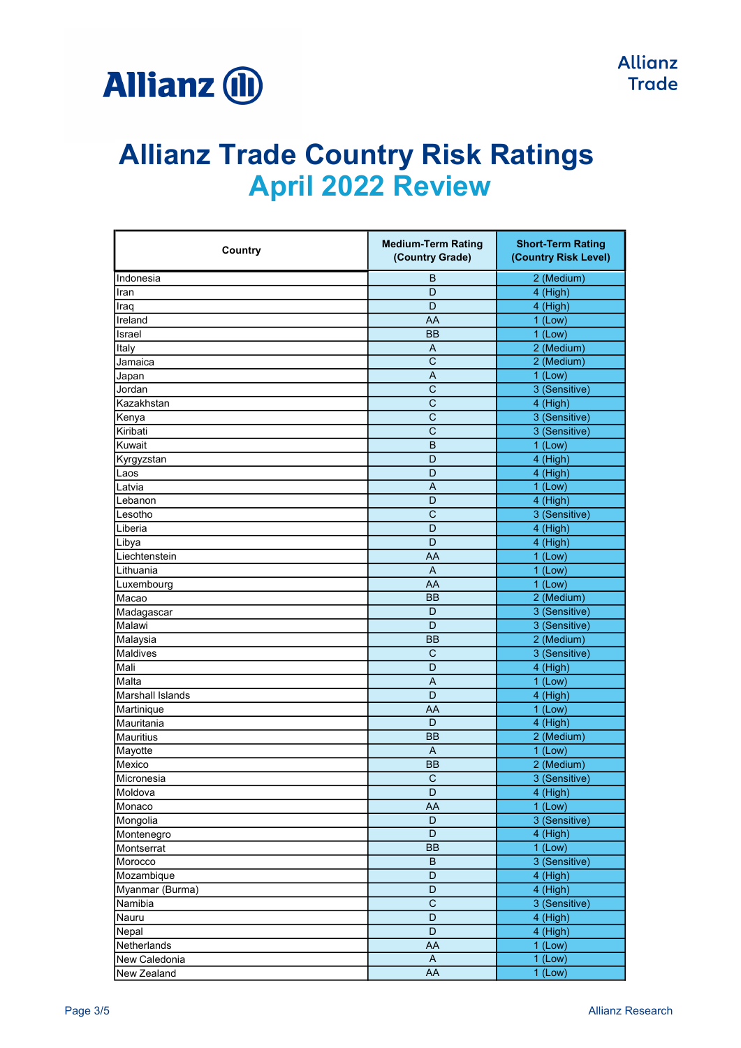

| Country                 | <b>Medium-Term Rating</b><br>(Country Grade) | <b>Short-Term Rating</b><br>(Country Risk Level) |
|-------------------------|----------------------------------------------|--------------------------------------------------|
| Indonesia               | B                                            | 2 (Medium)                                       |
| Iran                    | D                                            | 4 (High)                                         |
| Iraq                    | D                                            | 4 (High)                                         |
| Ireland                 | AA                                           | $1$ (Low)                                        |
| Israel                  | BB                                           | $1$ (Low)                                        |
| Italy                   | A                                            | 2 (Medium)                                       |
| Jamaica                 | C                                            | 2 (Medium)                                       |
| Japan                   | Α                                            | $1$ (Low)                                        |
| Jordan                  | C                                            | 3 (Sensitive)                                    |
| Kazakhstan              | $\overline{C}$                               | 4 (High)                                         |
| Kenya                   | $\mathsf{C}$                                 | 3 (Sensitive)                                    |
| Kiribati                | $\mathsf{C}$                                 | 3 (Sensitive)                                    |
| Kuwait                  | B                                            | $1$ (Low)                                        |
| Kyrgyzstan              | D                                            | 4 (High)                                         |
| Laos                    | D                                            | 4 (High)                                         |
| Latvia                  | A                                            | $1$ (Low)                                        |
| Lebanon                 | D                                            | 4 (High)                                         |
| Lesotho                 | $\mathsf{C}$                                 | 3 (Sensitive)                                    |
| ILiberia                | D                                            | 4 (High)                                         |
| Libya                   | D                                            | 4 (High)                                         |
| Liechtenstein           | AA                                           | $1$ (Low)                                        |
| Lithuania               | A                                            | $1$ (Low)                                        |
| Luxembourg              | AA                                           | $1$ (Low)                                        |
| Macao                   | <b>BB</b>                                    | 2 (Medium)                                       |
| Madagascar              | D                                            | 3 (Sensitive)                                    |
| Malawi                  | D                                            | 3 (Sensitive)                                    |
| Malaysia                | <b>BB</b>                                    | 2 (Medium)                                       |
| Maldives                | $\mathsf{C}$                                 | 3 (Sensitive)                                    |
| Mali                    | D                                            | 4 (High)                                         |
| Malta                   | A                                            | $1$ (Low)                                        |
| <b>Marshall Islands</b> | D                                            | 4 (High)                                         |
| Martinique              | AA                                           | $1$ (Low)                                        |
| İMauritania             | D                                            | 4 (High)                                         |
| Mauritius               | <b>BB</b>                                    | 2 (Medium)                                       |
| Mayotte                 | A                                            | $1$ (Low)                                        |
| Mexico                  | <b>BB</b>                                    | 2 (Medium)                                       |
| Micronesia              | C                                            | 3 (Sensitive)                                    |
| Moldova                 | D                                            | 4 (High)                                         |
| Monaco                  | AA                                           | $1$ (Low)                                        |
| Mongolia                | D                                            | 3 (Sensitive)                                    |
| Montenegro              | D                                            | 4 (High)                                         |
| Montserrat              | BB                                           | $1$ (Low)                                        |
| Morocco                 | B                                            | 3 (Sensitive)                                    |
| Mozambique              | D                                            | 4 (High)                                         |
| Myanmar (Burma)         | D                                            | 4 (High)                                         |
| Namibia                 | $\mathsf C$                                  | 3 (Sensitive)                                    |
| Nauru                   | D                                            | 4 (High)                                         |
| Nepal                   | D                                            | 4 (High)                                         |
| Netherlands             | AA                                           | $1$ (Low)                                        |
| New Caledonia           | $\mathsf{A}$                                 | $1$ (Low)                                        |
| New Zealand             | AA                                           | $1$ (Low)                                        |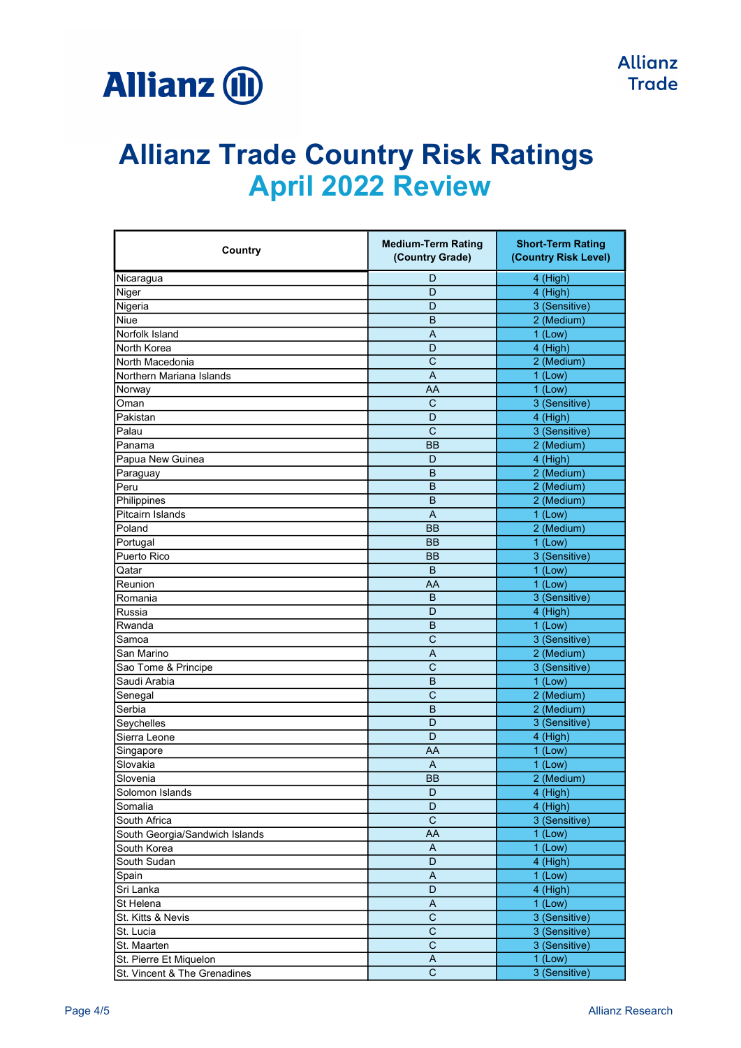

| Country                        | <b>Medium-Term Rating</b><br>(Country Grade) | <b>Short-Term Rating</b><br>(Country Risk Level) |
|--------------------------------|----------------------------------------------|--------------------------------------------------|
| Nicaragua                      | D                                            | 4 (High)                                         |
| Niger                          | D                                            | 4 (High)                                         |
| Nigeria                        | D                                            | 3 (Sensitive)                                    |
| Niue                           | B                                            | 2 (Medium)                                       |
| Norfolk Island                 | $\overline{A}$                               | $1$ (Low)                                        |
| North Korea                    | D                                            | 4 (High)                                         |
| North Macedonia                | C                                            | 2 (Medium)                                       |
| Northern Mariana Islands       | A                                            | $1$ (Low)                                        |
| Norway                         | AA                                           | $1$ (Low)                                        |
| Oman                           | $\mathsf{C}$                                 | 3 (Sensitive)                                    |
| Pakistan                       | D                                            | 4 (High)                                         |
| Palau                          | C                                            | 3 (Sensitive)                                    |
| Panama                         | <b>BB</b>                                    | 2 (Medium)                                       |
| Papua New Guinea               | D                                            | 4 (High)                                         |
| Paraguay                       | B                                            | 2 (Medium)                                       |
| Peru                           | B                                            | 2 (Medium)                                       |
| Philippines                    | B                                            | 2 (Medium)                                       |
| <b>Pitcairn Islands</b>        | $\overline{A}$                               | $1$ (Low)                                        |
| Poland                         | <b>BB</b>                                    | 2 (Medium)                                       |
| Portugal                       | <b>BB</b>                                    | $1$ (Low)                                        |
| Puerto Rico                    | BB                                           | 3 (Sensitive)                                    |
| Qatar                          | B                                            | $1$ (Low)                                        |
| Reunion                        | AA                                           | $1$ (Low)                                        |
| Romania                        | B                                            | 3 (Sensitive)                                    |
| Russia                         | D                                            | 4 (High)                                         |
| Rwanda                         | B                                            | $1$ (Low)                                        |
| Samoa                          | $\mathsf{C}$                                 | 3 (Sensitive)                                    |
| San Marino                     | A                                            | 2 (Medium)                                       |
| Sao Tome & Principe            | $\mathsf{C}$                                 | 3 (Sensitive)                                    |
| Saudi Arabia                   | B                                            | $1$ (Low)                                        |
| Senegal                        | $\overline{C}$                               | 2 (Medium)                                       |
| Serbia                         | B                                            | 2 (Medium)                                       |
| Seychelles                     | D                                            | 3 (Sensitive)                                    |
| Sierra Leone                   | D                                            | 4 (High)                                         |
| Singapore                      | AA                                           | $1$ (Low)                                        |
| Slovakia                       | A                                            | $1$ (Low)                                        |
| Slovenia                       | BB                                           | 2 (Medium)                                       |
| Solomon Islands                | D                                            | 4 (High)                                         |
| Somalia                        | D                                            | 4 (High)                                         |
| South Africa                   | $\mathbf C$                                  | 3 (Sensitive)                                    |
| South Georgia/Sandwich Islands | AA                                           | $1$ (Low)                                        |
| South Korea                    | A                                            | $1$ (Low)                                        |
| South Sudan                    | D                                            | 4 (High)                                         |
| Spain                          | A                                            | $1$ (Low)                                        |
| Sri Lanka                      | D                                            | 4 (High)                                         |
| St Helena                      | $\boldsymbol{\mathsf{A}}$                    | $1$ (Low)                                        |
| St. Kitts & Nevis              | $\overline{\text{c}}$                        | 3 (Sensitive)                                    |
| St. Lucia                      | $\mathbf C$                                  | 3 (Sensitive)                                    |
| St. Maarten                    | $\mathbf C$                                  | 3 (Sensitive)                                    |
| St. Pierre Et Miquelon         | A                                            | $1$ (Low)                                        |
| St. Vincent & The Grenadines   | $\mathsf C$                                  | 3 (Sensitive)                                    |